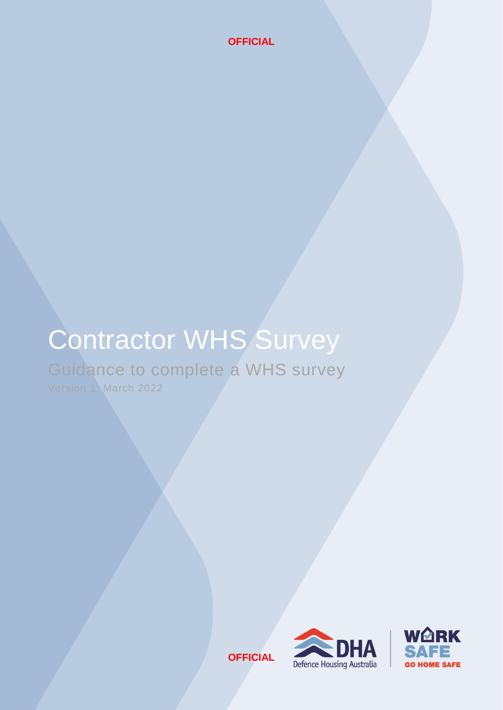# Contractor WHS Survey

Guidance to complete a WHS survey

Version 1: March 2022

**OFFICIAL**



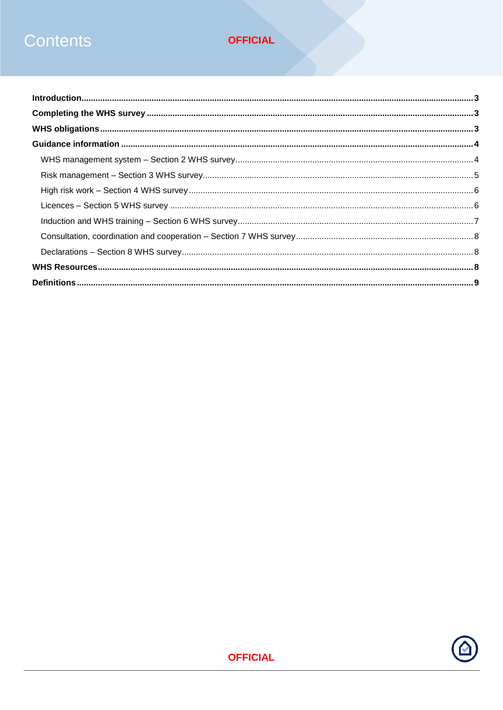## Contents

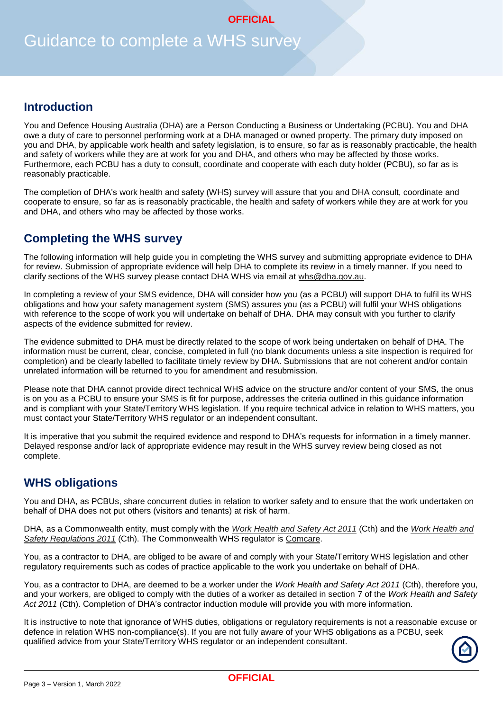## Guidance to complete a WHS survey

## **Introduction**

You and Defence Housing Australia (DHA) are a Person Conducting a Business or Undertaking (PCBU). You and DHA owe a duty of care to personnel performing work at a DHA managed or owned property. The primary duty imposed on you and DHA, by applicable work health and safety legislation, is to ensure, so far as is reasonably practicable, the health and safety of workers while they are at work for you and DHA, and others who may be affected by those works. Furthermore, each PCBU has a duty to consult, coordinate and cooperate with each duty holder (PCBU), so far as is reasonably practicable.

The completion of DHA's work health and safety (WHS) survey will assure that you and DHA consult, coordinate and cooperate to ensure, so far as is reasonably practicable, the health and safety of workers while they are at work for you and DHA, and others who may be affected by those works.

## **Completing the WHS survey**

The following information will help guide you in completing the WHS survey and submitting appropriate evidence to DHA for review. Submission of appropriate evidence will help DHA to complete its review in a timely manner. If you need to clarify sections of the WHS survey please contact DHA WHS via email at [whs@dha.gov.au.](mailto:whs@dha.gov.au)

In completing a review of your SMS evidence, DHA will consider how you (as a PCBU) will support DHA to fulfil its WHS obligations and how your safety management system (SMS) assures you (as a PCBU) will fulfil your WHS obligations with reference to the scope of work you will undertake on behalf of DHA. DHA may consult with you further to clarify aspects of the evidence submitted for review.

The evidence submitted to DHA must be directly related to the scope of work being undertaken on behalf of DHA. The information must be current, clear, concise, completed in full (no blank documents unless a site inspection is required for completion) and be clearly labelled to facilitate timely review by DHA. Submissions that are not coherent and/or contain unrelated information will be returned to you for amendment and resubmission.

Please note that DHA cannot provide direct technical WHS advice on the structure and/or content of your SMS, the onus is on you as a PCBU to ensure your SMS is fit for purpose, addresses the criteria outlined in this guidance information and is compliant with your State/Territory WHS legislation. If you require technical advice in relation to WHS matters, you must contact your State/Territory WHS regulator or an independent consultant.

It is imperative that you submit the required evidence and respond to DHA's requests for information in a timely manner. Delayed response and/or lack of appropriate evidence may result in the WHS survey review being closed as not complete.

## **WHS obligations**

You and DHA, as PCBUs, share concurrent duties in relation to worker safety and to ensure that the work undertaken on behalf of DHA does not put others (visitors and tenants) at risk of harm.

DHA, as a Commonwealth entity, must comply with the *[Work Health and Safety Act 2011](https://www.legislation.gov.au/Details/C2018C00293)* (Cth) and the *Work [Health and](https://www.legislation.gov.au/Details/F2021C00897)  [Safety Regulations 2011](https://www.legislation.gov.au/Details/F2021C00897)* (Cth). The Commonwealth WHS regulator is [Comcare.](https://www.comcare.gov.au/)

You, as a contractor to DHA, are obliged to be aware of and comply with your State/Territory WHS legislation and other regulatory requirements such as codes of practice applicable to the work you undertake on behalf of DHA.

You, as a contractor to DHA, are deemed to be a worker under the *Work Health and Safety Act 2011* (Cth), therefore you, and your workers, are obliged to comply with the duties of a worker as detailed in section 7 of the *Work Health and Safety Act 2011* (Cth). Completion of DHA's contractor induction module will provide you with more information.

It is instructive to note that ignorance of WHS duties, obligations or regulatory requirements is not a reasonable excuse or defence in relation WHS non-compliance(s). If you are not fully aware of your WHS obligations as a PCBU, seek qualified advice from your State/Territory WHS regulator or an independent consultant.

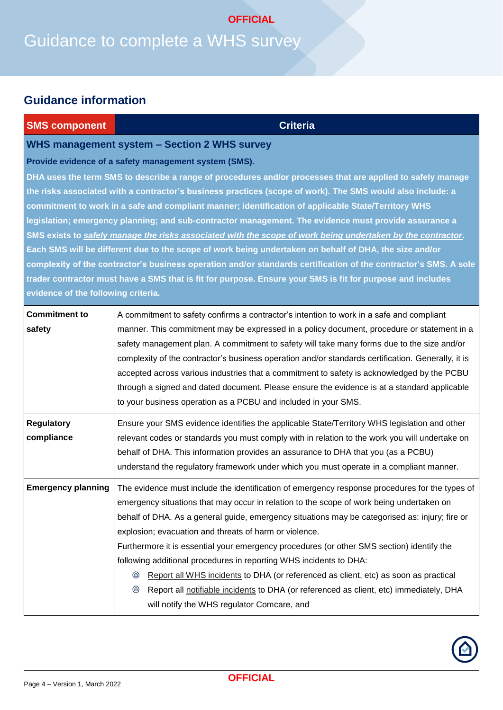## Guidance to complete a WHS survey **OFFICIAL**

## **Guidance information**

| <b>SMS component</b>                | <b>Criteria</b>                                                                                                                                                                                |
|-------------------------------------|------------------------------------------------------------------------------------------------------------------------------------------------------------------------------------------------|
|                                     | <b>WHS management system - Section 2 WHS survey</b>                                                                                                                                            |
|                                     | Provide evidence of a safety management system (SMS).                                                                                                                                          |
|                                     | DHA uses the term SMS to describe a range of procedures and/or processes that are applied to safely manage                                                                                     |
|                                     | the risks associated with a contractor's business practices (scope of work). The SMS would also include: a                                                                                     |
|                                     | commitment to work in a safe and compliant manner; identification of applicable State/Territory WHS                                                                                            |
|                                     | legislation; emergency planning; and sub-contractor management. The evidence must provide assurance a                                                                                          |
|                                     | SMS exists to safely manage the risks associated with the scope of work being undertaken by the contractor.                                                                                    |
|                                     | Each SMS will be different due to the scope of work being undertaken on behalf of DHA, the size and/or                                                                                         |
|                                     | complexity of the contractor's business operation and/or standards certification of the contractor's SMS. A sole                                                                               |
|                                     | trader contractor must have a SMS that is fit for purpose. Ensure your SMS is fit for purpose and includes                                                                                     |
| evidence of the following criteria. |                                                                                                                                                                                                |
| <b>Commitment to</b>                | A commitment to safety confirms a contractor's intention to work in a safe and compliant                                                                                                       |
| safety                              | manner. This commitment may be expressed in a policy document, procedure or statement in a                                                                                                     |
|                                     | safety management plan. A commitment to safety will take many forms due to the size and/or                                                                                                     |
|                                     | complexity of the contractor's business operation and/or standards certification. Generally, it is                                                                                             |
|                                     | accepted across various industries that a commitment to safety is acknowledged by the PCBU                                                                                                     |
|                                     | through a signed and dated document. Please ensure the evidence is at a standard applicable                                                                                                    |
|                                     | to your business operation as a PCBU and included in your SMS.                                                                                                                                 |
| <b>Regulatory</b>                   |                                                                                                                                                                                                |
| compliance                          | Ensure your SMS evidence identifies the applicable State/Territory WHS legislation and other<br>relevant codes or standards you must comply with in relation to the work you will undertake on |
|                                     | behalf of DHA. This information provides an assurance to DHA that you (as a PCBU)                                                                                                              |
|                                     | understand the regulatory framework under which you must operate in a compliant manner.                                                                                                        |
|                                     |                                                                                                                                                                                                |
| <b>Emergency planning</b>           | The evidence must include the identification of emergency response procedures for the types of                                                                                                 |
|                                     | emergency situations that may occur in relation to the scope of work being undertaken on                                                                                                       |
|                                     | behalf of DHA. As a general guide, emergency situations may be categorised as: injury; fire or                                                                                                 |
|                                     | explosion; evacuation and threats of harm or violence.                                                                                                                                         |
|                                     | Furthermore it is essential your emergency procedures (or other SMS section) identify the                                                                                                      |
|                                     | following additional procedures in reporting WHS incidents to DHA:                                                                                                                             |
|                                     | Report all WHS incidents to DHA (or referenced as client, etc) as soon as practical<br>◉                                                                                                       |
|                                     | ◉<br>Report all notifiable incidents to DHA (or referenced as client, etc) immediately, DHA                                                                                                    |
|                                     | will notify the WHS regulator Comcare, and                                                                                                                                                     |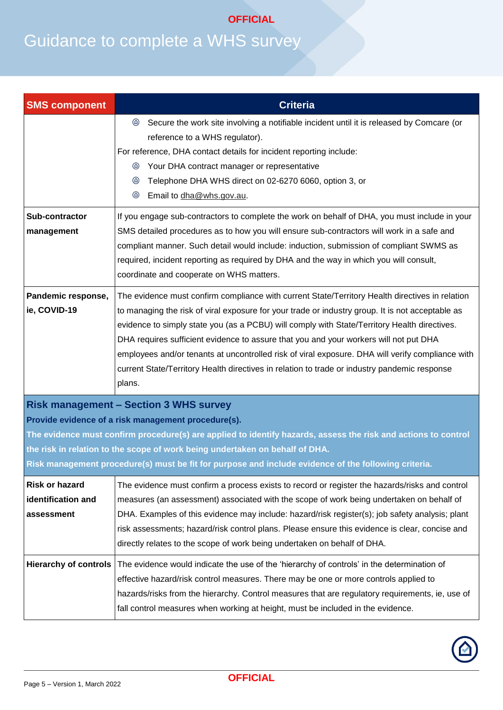| <b>SMS component</b>                                                                                                                                                                                                                                                                                                                                                                                           | <b>Criteria</b>                                                                                                                                                                                                                                                                                                                                                                                                                                                                                                                                                                                            |
|----------------------------------------------------------------------------------------------------------------------------------------------------------------------------------------------------------------------------------------------------------------------------------------------------------------------------------------------------------------------------------------------------------------|------------------------------------------------------------------------------------------------------------------------------------------------------------------------------------------------------------------------------------------------------------------------------------------------------------------------------------------------------------------------------------------------------------------------------------------------------------------------------------------------------------------------------------------------------------------------------------------------------------|
|                                                                                                                                                                                                                                                                                                                                                                                                                | Secure the work site involving a notifiable incident until it is released by Comcare (or<br>◉<br>reference to a WHS regulator).<br>For reference, DHA contact details for incident reporting include:<br>Your DHA contract manager or representative<br>◉<br>Telephone DHA WHS direct on 02-6270 6060, option 3, or<br>◉<br>◉<br>Email to dha@whs.gov.au.                                                                                                                                                                                                                                                  |
| Sub-contractor<br>management                                                                                                                                                                                                                                                                                                                                                                                   | If you engage sub-contractors to complete the work on behalf of DHA, you must include in your<br>SMS detailed procedures as to how you will ensure sub-contractors will work in a safe and<br>compliant manner. Such detail would include: induction, submission of compliant SWMS as<br>required, incident reporting as required by DHA and the way in which you will consult,<br>coordinate and cooperate on WHS matters.                                                                                                                                                                                |
| Pandemic response,<br>ie, COVID-19                                                                                                                                                                                                                                                                                                                                                                             | The evidence must confirm compliance with current State/Territory Health directives in relation<br>to managing the risk of viral exposure for your trade or industry group. It is not acceptable as<br>evidence to simply state you (as a PCBU) will comply with State/Territory Health directives.<br>DHA requires sufficient evidence to assure that you and your workers will not put DHA<br>employees and/or tenants at uncontrolled risk of viral exposure. DHA will verify compliance with<br>current State/Territory Health directives in relation to trade or industry pandemic response<br>plans. |
| <b>Risk management - Section 3 WHS survey</b><br>Provide evidence of a risk management procedure(s).<br>The evidence must confirm procedure(s) are applied to identify hazards, assess the risk and actions to control<br>the risk in relation to the scope of work being undertaken on behalf of DHA.<br>Risk management procedure(s) must be fit for purpose and include evidence of the following criteria. |                                                                                                                                                                                                                                                                                                                                                                                                                                                                                                                                                                                                            |
| <b>Risk or hazard</b><br>identification and<br>assessment                                                                                                                                                                                                                                                                                                                                                      | The evidence must confirm a process exists to record or register the hazards/risks and control<br>measures (an assessment) associated with the scope of work being undertaken on behalf of<br>DHA. Examples of this evidence may include: hazard/risk register(s); job safety analysis; plant<br>risk assessments; hazard/risk control plans. Please ensure this evidence is clear, concise and<br>directly relates to the scope of work being undertaken on behalf of DHA.                                                                                                                                |
| <b>Hierarchy of controls</b>                                                                                                                                                                                                                                                                                                                                                                                   | The evidence would indicate the use of the 'hierarchy of controls' in the determination of<br>effective hazard/risk control measures. There may be one or more controls applied to<br>hazards/risks from the hierarchy. Control measures that are regulatory requirements, ie, use of<br>fall control measures when working at height, must be included in the evidence.                                                                                                                                                                                                                                   |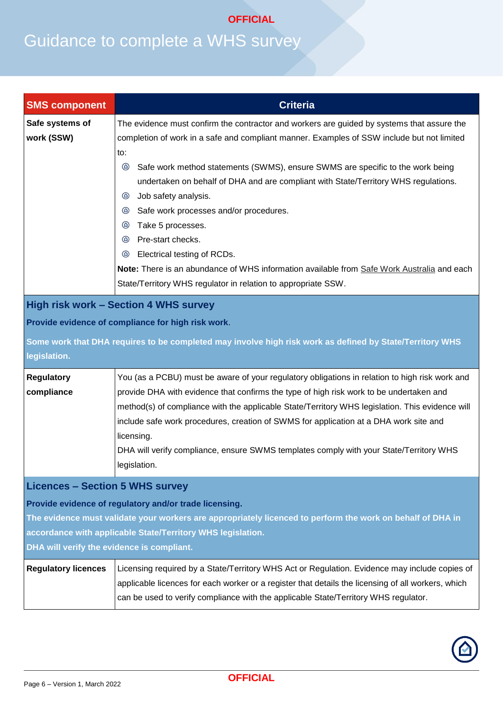| <b>SMS component</b>                                                                                                                                                                                                                                                                                                        | <b>Criteria</b>                                                                                                                                                                                                                                                                                                                                                                                                                                                                                                                                                                                                                                                                                                               |
|-----------------------------------------------------------------------------------------------------------------------------------------------------------------------------------------------------------------------------------------------------------------------------------------------------------------------------|-------------------------------------------------------------------------------------------------------------------------------------------------------------------------------------------------------------------------------------------------------------------------------------------------------------------------------------------------------------------------------------------------------------------------------------------------------------------------------------------------------------------------------------------------------------------------------------------------------------------------------------------------------------------------------------------------------------------------------|
| Safe systems of<br>work (SSW)                                                                                                                                                                                                                                                                                               | The evidence must confirm the contractor and workers are guided by systems that assure the<br>completion of work in a safe and compliant manner. Examples of SSW include but not limited<br>to:<br>Safe work method statements (SWMS), ensure SWMS are specific to the work being<br>◉<br>undertaken on behalf of DHA and are compliant with State/Territory WHS regulations.<br>Job safety analysis.<br>అ<br>Safe work processes and/or procedures.<br>◉<br>Take 5 processes.<br>అ<br>Pre-start checks.<br>$\circledcirc$<br>Electrical testing of RCDs.<br>అ<br>Note: There is an abundance of WHS information available from Safe Work Australia and each<br>State/Territory WHS regulator in relation to appropriate SSW. |
| <b>High risk work - Section 4 WHS survey</b><br>Provide evidence of compliance for high risk work.<br>Some work that DHA requires to be completed may involve high risk work as defined by State/Territory WHS<br>legislation.                                                                                              |                                                                                                                                                                                                                                                                                                                                                                                                                                                                                                                                                                                                                                                                                                                               |
| <b>Regulatory</b><br>compliance                                                                                                                                                                                                                                                                                             | You (as a PCBU) must be aware of your regulatory obligations in relation to high risk work and<br>provide DHA with evidence that confirms the type of high risk work to be undertaken and<br>method(s) of compliance with the applicable State/Territory WHS legislation. This evidence will<br>include safe work procedures, creation of SWMS for application at a DHA work site and<br>licensing.<br>DHA will verify compliance, ensure SWMS templates comply with your State/Territory WHS<br>legislation.                                                                                                                                                                                                                 |
| <b>Licences - Section 5 WHS survey</b><br>Provide evidence of regulatory and/or trade licensing.<br>The evidence must validate your workers are appropriately licenced to perform the work on behalf of DHA in<br>accordance with applicable State/Territory WHS legislation.<br>DHA will verify the evidence is compliant. |                                                                                                                                                                                                                                                                                                                                                                                                                                                                                                                                                                                                                                                                                                                               |
| <b>Regulatory licences</b>                                                                                                                                                                                                                                                                                                  | Licensing required by a State/Territory WHS Act or Regulation. Evidence may include copies of<br>applicable licences for each worker or a register that details the licensing of all workers, which<br>can be used to verify compliance with the applicable State/Territory WHS regulator.                                                                                                                                                                                                                                                                                                                                                                                                                                    |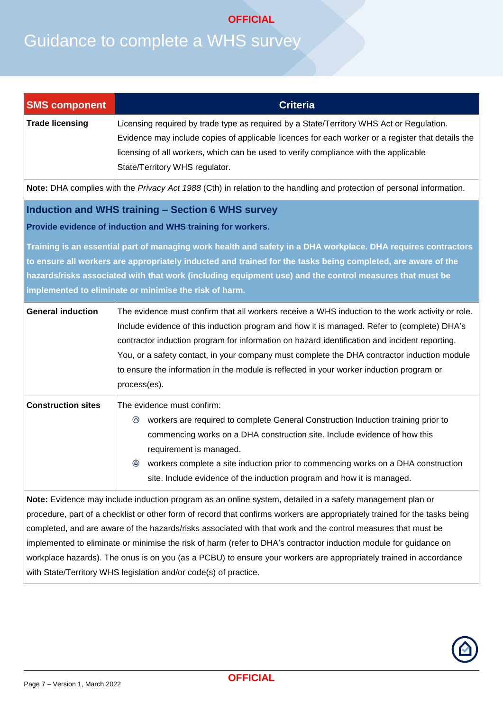| <b>SMS component</b>                                                                                                                                                                                                                                                                                                                                                                                                                                                                                                                                                                                                                                                   | <b>Criteria</b>                                                                                                                                                                                                                                                                                                                                                                                                                                                                                             |  |
|------------------------------------------------------------------------------------------------------------------------------------------------------------------------------------------------------------------------------------------------------------------------------------------------------------------------------------------------------------------------------------------------------------------------------------------------------------------------------------------------------------------------------------------------------------------------------------------------------------------------------------------------------------------------|-------------------------------------------------------------------------------------------------------------------------------------------------------------------------------------------------------------------------------------------------------------------------------------------------------------------------------------------------------------------------------------------------------------------------------------------------------------------------------------------------------------|--|
| <b>Trade licensing</b>                                                                                                                                                                                                                                                                                                                                                                                                                                                                                                                                                                                                                                                 | Licensing required by trade type as required by a State/Territory WHS Act or Regulation.<br>Evidence may include copies of applicable licences for each worker or a register that details the<br>licensing of all workers, which can be used to verify compliance with the applicable<br>State/Territory WHS regulator.                                                                                                                                                                                     |  |
|                                                                                                                                                                                                                                                                                                                                                                                                                                                                                                                                                                                                                                                                        | Note: DHA complies with the Privacy Act 1988 (Cth) in relation to the handling and protection of personal information.                                                                                                                                                                                                                                                                                                                                                                                      |  |
|                                                                                                                                                                                                                                                                                                                                                                                                                                                                                                                                                                                                                                                                        | Induction and WHS training - Section 6 WHS survey<br>Provide evidence of induction and WHS training for workers.<br>Training is an essential part of managing work health and safety in a DHA workplace. DHA requires contractors                                                                                                                                                                                                                                                                           |  |
|                                                                                                                                                                                                                                                                                                                                                                                                                                                                                                                                                                                                                                                                        | to ensure all workers are appropriately inducted and trained for the tasks being completed, are aware of the<br>hazards/risks associated with that work (including equipment use) and the control measures that must be<br>implemented to eliminate or minimise the risk of harm.                                                                                                                                                                                                                           |  |
| <b>General induction</b>                                                                                                                                                                                                                                                                                                                                                                                                                                                                                                                                                                                                                                               | The evidence must confirm that all workers receive a WHS induction to the work activity or role.<br>Include evidence of this induction program and how it is managed. Refer to (complete) DHA's<br>contractor induction program for information on hazard identification and incident reporting.<br>You, or a safety contact, in your company must complete the DHA contractor induction module<br>to ensure the information in the module is reflected in your worker induction program or<br>process(es). |  |
| <b>Construction sites</b>                                                                                                                                                                                                                                                                                                                                                                                                                                                                                                                                                                                                                                              | The evidence must confirm:<br>workers are required to complete General Construction Induction training prior to<br>◉<br>commencing works on a DHA construction site. Include evidence of how this<br>requirement is managed.<br><sup>3</sup> workers complete a site induction prior to commencing works on a DHA construction<br>site. Include evidence of the induction program and how it is managed.                                                                                                    |  |
| Note: Evidence may include induction program as an online system, detailed in a safety management plan or<br>procedure, part of a checklist or other form of record that confirms workers are appropriately trained for the tasks being<br>completed, and are aware of the hazards/risks associated with that work and the control measures that must be<br>implemented to eliminate or minimise the risk of harm (refer to DHA's contractor induction module for guidance on<br>workplace hazards). The onus is on you (as a PCBU) to ensure your workers are appropriately trained in accordance<br>with State/Territory WHS legislation and/or code(s) of practice. |                                                                                                                                                                                                                                                                                                                                                                                                                                                                                                             |  |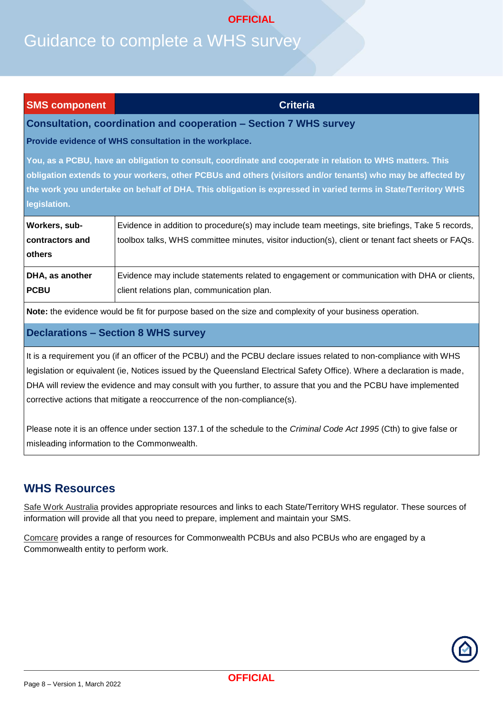## Guidance to complete a WHS survey

#### **SMS component Criteria**

#### **Consultation, coordination and cooperation – Section 7 WHS survey**

**Provide evidence of WHS consultation in the workplace.**

**You, as a PCBU, have an obligation to consult, coordinate and cooperate in relation to WHS matters. This obligation extends to your workers, other PCBUs and others (visitors and/or tenants) who may be affected by the work you undertake on behalf of DHA. This obligation is expressed in varied terms in State/Territory WHS legislation.**

| Workers, sub-<br>contractors and | Evidence in addition to procedure(s) may include team meetings, site briefings, Take 5 records,<br>toolbox talks, WHS committee minutes, visitor induction(s), client or tenant fact sheets or FAQs. |
|----------------------------------|------------------------------------------------------------------------------------------------------------------------------------------------------------------------------------------------------|
| others                           |                                                                                                                                                                                                      |
| <b>DHA, as another</b>           | Evidence may include statements related to engagement or communication with DHA or clients,                                                                                                          |
| <b>PCBU</b>                      | client relations plan, communication plan.                                                                                                                                                           |

**Note:** the evidence would be fit for purpose based on the size and complexity of your business operation.

#### **Declarations – Section 8 WHS survey**

It is a requirement you (if an officer of the PCBU) and the PCBU declare issues related to non-compliance with WHS legislation or equivalent (ie, Notices issued by the Queensland Electrical Safety Office). Where a declaration is made, DHA will review the evidence and may consult with you further, to assure that you and the PCBU have implemented corrective actions that mitigate a reoccurrence of the non-compliance(s).

Please note it is an offence under section 137.1 of the schedule to the *Criminal Code Act 1995* (Cth) to give false or misleading information to the Commonwealth.

## **WHS Resources**

[Safe Work Australia](https://www.safeworkaustralia.gov.au/) provides appropriate resources and links to each State/Territory WHS regulator. These sources of information will provide all that you need to prepare, implement and maintain your SMS.

[Comcare](https://www.comcare.gov.au/roles/pcbu) provides a range of resources for Commonwealth PCBUs and also PCBUs who are engaged by a Commonwealth entity to perform work.

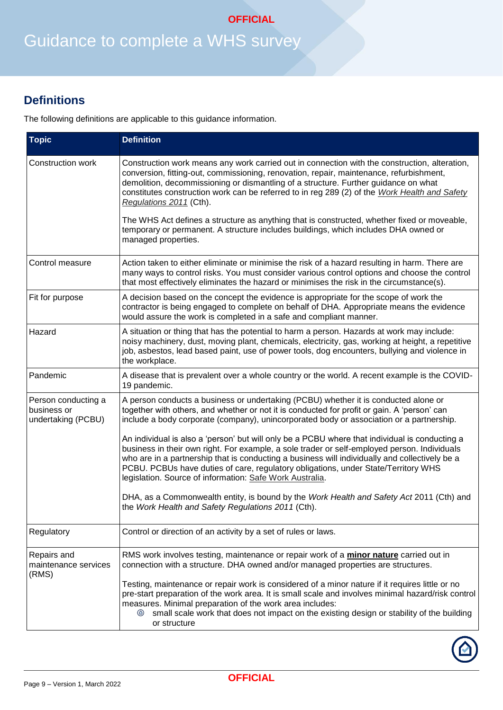## Guidance to complete a WHS survey

## **Definitions**

The following definitions are applicable to this guidance information.

| <b>Topic</b>                                             | <b>Definition</b>                                                                                                                                                                                                                                                                                                                                                                                                                                  |
|----------------------------------------------------------|----------------------------------------------------------------------------------------------------------------------------------------------------------------------------------------------------------------------------------------------------------------------------------------------------------------------------------------------------------------------------------------------------------------------------------------------------|
| Construction work                                        | Construction work means any work carried out in connection with the construction, alteration,<br>conversion, fitting-out, commissioning, renovation, repair, maintenance, refurbishment,<br>demolition, decommissioning or dismantling of a structure. Further guidance on what<br>constitutes construction work can be referred to in reg 289 (2) of the Work Health and Safety<br>Regulations 2011 (Cth).                                        |
|                                                          | The WHS Act defines a structure as anything that is constructed, whether fixed or moveable,<br>temporary or permanent. A structure includes buildings, which includes DHA owned or<br>managed properties.                                                                                                                                                                                                                                          |
| Control measure                                          | Action taken to either eliminate or minimise the risk of a hazard resulting in harm. There are<br>many ways to control risks. You must consider various control options and choose the control<br>that most effectively eliminates the hazard or minimises the risk in the circumstance(s).                                                                                                                                                        |
| Fit for purpose                                          | A decision based on the concept the evidence is appropriate for the scope of work the<br>contractor is being engaged to complete on behalf of DHA. Appropriate means the evidence<br>would assure the work is completed in a safe and compliant manner.                                                                                                                                                                                            |
| Hazard                                                   | A situation or thing that has the potential to harm a person. Hazards at work may include:<br>noisy machinery, dust, moving plant, chemicals, electricity, gas, working at height, a repetitive<br>job, asbestos, lead based paint, use of power tools, dog encounters, bullying and violence in<br>the workplace.                                                                                                                                 |
| Pandemic                                                 | A disease that is prevalent over a whole country or the world. A recent example is the COVID-<br>19 pandemic.                                                                                                                                                                                                                                                                                                                                      |
| Person conducting a<br>business or<br>undertaking (PCBU) | A person conducts a business or undertaking (PCBU) whether it is conducted alone or<br>together with others, and whether or not it is conducted for profit or gain. A 'person' can<br>include a body corporate (company), unincorporated body or association or a partnership.                                                                                                                                                                     |
|                                                          | An individual is also a 'person' but will only be a PCBU where that individual is conducting a<br>business in their own right. For example, a sole trader or self-employed person. Individuals<br>who are in a partnership that is conducting a business will individually and collectively be a<br>PCBU. PCBUs have duties of care, regulatory obligations, under State/Territory WHS<br>legislation. Source of information: Safe Work Australia. |
|                                                          | DHA, as a Commonwealth entity, is bound by the Work Health and Safety Act 2011 (Cth) and<br>the Work Health and Safety Regulations 2011 (Cth).                                                                                                                                                                                                                                                                                                     |
| Regulatory                                               | Control or direction of an activity by a set of rules or laws.                                                                                                                                                                                                                                                                                                                                                                                     |
| Repairs and<br>maintenance services<br>(RMS)             | RMS work involves testing, maintenance or repair work of a <i>minor nature</i> carried out in<br>connection with a structure. DHA owned and/or managed properties are structures.                                                                                                                                                                                                                                                                  |
|                                                          | Testing, maintenance or repair work is considered of a minor nature if it requires little or no<br>pre-start preparation of the work area. It is small scale and involves minimal hazard/risk control<br>measures. Minimal preparation of the work area includes:<br>◉<br>small scale work that does not impact on the existing design or stability of the building<br>or structure                                                                |